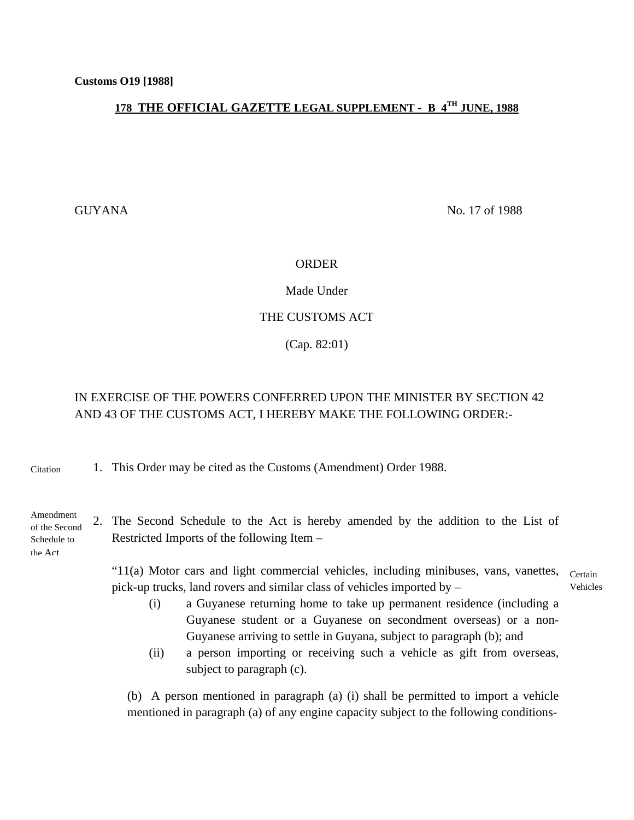## **178 THE OFFICIAL GAZETTE LEGAL SUPPLEMENT - B 4TH JUNE, 1988**

GUYANA No. 17 of 1988

## ORDER

Made Under

## THE CUSTOMS ACT

(Cap. 82:01)

## IN EXERCISE OF THE POWERS CONFERRED UPON THE MINISTER BY SECTION 42 AND 43 OF THE CUSTOMS ACT, I HEREBY MAKE THE FOLLOWING ORDER:-

1. This Order may be cited as the Customs (Amendment) Order 1988. Citation

Amendment of the Second Schedule to the Act

2. The Second Schedule to the Act is hereby amended by the addition to the List of Restricted Imports of the following Item –

"11(a) Motor cars and light commercial vehicles, including minibuses, vans, vanettes, Certain pick-up trucks, land rovers and similar class of vehicles imported by – Vehicles

- (i) a Guyanese returning home to take up permanent residence (including a Guyanese student or a Guyanese on secondment overseas) or a non-Guyanese arriving to settle in Guyana, subject to paragraph (b); and
- (ii) a person importing or receiving such a vehicle as gift from overseas, subject to paragraph (c).

(b) A person mentioned in paragraph (a) (i) shall be permitted to import a vehicle mentioned in paragraph (a) of any engine capacity subject to the following conditions-